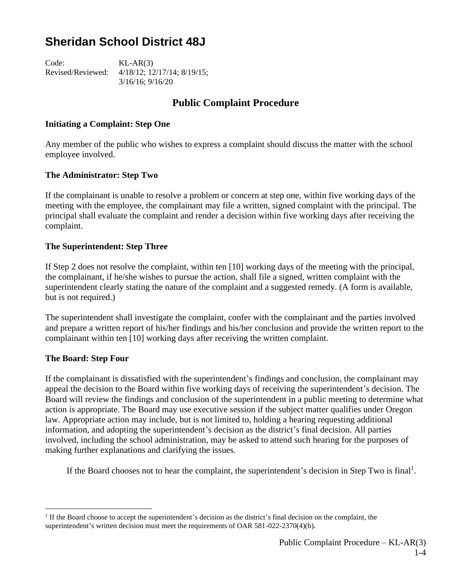# **Sheridan School District 48J**

Code: KL-AR(3) Revised/Reviewed: 4/18/12; 12/17/14; 8/19/15; 3/16/16; 9/16/20

### **Public Complaint Procedure**

#### **Initiating a Complaint: Step One**

Any member of the public who wishes to express a complaint should discuss the matter with the school employee involved.

#### **The Administrator: Step Two**

If the complainant is unable to resolve a problem or concern at step one, within five working days of the meeting with the employee, the complainant may file a written, signed complaint with the principal. The principal shall evaluate the complaint and render a decision within five working days after receiving the complaint.

#### **The Superintendent: Step Three**

If Step 2 does not resolve the complaint, within ten [10] working days of the meeting with the principal, the complainant, if he/she wishes to pursue the action, shall file a signed, written complaint with the superintendent clearly stating the nature of the complaint and a suggested remedy. (A form is available, but is not required.)

The superintendent shall investigate the complaint, confer with the complainant and the parties involved and prepare a written report of his/her findings and his/her conclusion and provide the written report to the complainant within ten [10] working days after receiving the written complaint.

#### **The Board: Step Four**

If the complainant is dissatisfied with the superintendent's findings and conclusion, the complainant may appeal the decision to the Board within five working days of receiving the superintendent's decision. The Board will review the findings and conclusion of the superintendent in a public meeting to determine what action is appropriate. The Board may use executive session if the subject matter qualifies under Oregon law. Appropriate action may include, but is not limited to, holding a hearing requesting additional information, and adopting the superintendent's decision as the district's final decision. All parties involved, including the school administration, may be asked to attend such hearing for the purposes of making further explanations and clarifying the issues.

If the Board chooses not to hear the complaint, the superintendent's decision in Step Two is final<sup>1</sup>.

<sup>&</sup>lt;sup>1</sup> If the Board choose to accept the superintendent's decision as the district's final decision on the complaint, the superintendent's written decision must meet the requirements of OAR 581-022-2370(4)(b).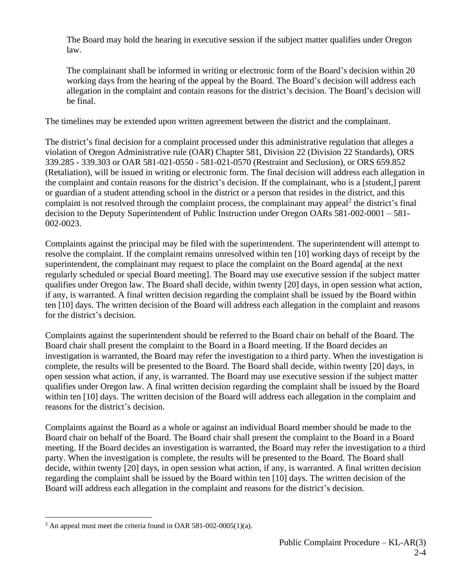The Board may hold the hearing in executive session if the subject matter qualifies under Oregon law.

The complainant shall be informed in writing or electronic form of the Board's decision within 20 working days from the hearing of the appeal by the Board. The Board's decision will address each allegation in the complaint and contain reasons for the district's decision. The Board's decision will be final.

The timelines may be extended upon written agreement between the district and the complainant.

The district's final decision for a complaint processed under this administrative regulation that alleges a violation of Oregon Administrative rule (OAR) Chapter 581, Division 22 (Division 22 Standards), ORS 339.285 - 339.303 or OAR 581-021-0550 - 581-021-0570 (Restraint and Seclusion), or ORS 659.852 (Retaliation), will be issued in writing or electronic form. The final decision will address each allegation in the complaint and contain reasons for the district's decision. If the complainant, who is a [student,] parent or guardian of a student attending school in the district or a person that resides in the district, and this complaint is not resolved through the complaint process, the complainant may appeal<sup>2</sup> the district's final decision to the Deputy Superintendent of Public Instruction under Oregon OARs 581-002-0001 – 581- 002-0023.

Complaints against the principal may be filed with the superintendent. The superintendent will attempt to resolve the complaint. If the complaint remains unresolved within ten [10] working days of receipt by the superintendent, the complainant may request to place the complaint on the Board agenda<sup>[</sup> at the next regularly scheduled or special Board meeting]. The Board may use executive session if the subject matter qualifies under Oregon law. The Board shall decide, within twenty [20] days, in open session what action, if any, is warranted. A final written decision regarding the complaint shall be issued by the Board within ten [10] days. The written decision of the Board will address each allegation in the complaint and reasons for the district's decision.

Complaints against the superintendent should be referred to the Board chair on behalf of the Board. The Board chair shall present the complaint to the Board in a Board meeting. If the Board decides an investigation is warranted, the Board may refer the investigation to a third party. When the investigation is complete, the results will be presented to the Board. The Board shall decide, within twenty [20] days, in open session what action, if any, is warranted. The Board may use executive session if the subject matter qualifies under Oregon law. A final written decision regarding the complaint shall be issued by the Board within ten [10] days. The written decision of the Board will address each allegation in the complaint and reasons for the district's decision.

Complaints against the Board as a whole or against an individual Board member should be made to the Board chair on behalf of the Board. The Board chair shall present the complaint to the Board in a Board meeting. If the Board decides an investigation is warranted, the Board may refer the investigation to a third party. When the investigation is complete, the results will be presented to the Board. The Board shall decide, within twenty [20] days, in open session what action, if any, is warranted. A final written decision regarding the complaint shall be issued by the Board within ten [10] days. The written decision of the Board will address each allegation in the complaint and reasons for the district's decision.

 $2$  An appeal must meet the criteria found in OAR 581-002-0005(1)(a).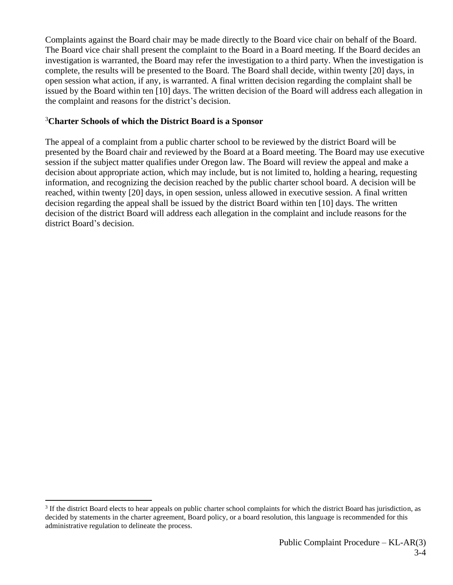Complaints against the Board chair may be made directly to the Board vice chair on behalf of the Board. The Board vice chair shall present the complaint to the Board in a Board meeting. If the Board decides an investigation is warranted, the Board may refer the investigation to a third party. When the investigation is complete, the results will be presented to the Board. The Board shall decide, within twenty [20] days, in open session what action, if any, is warranted. A final written decision regarding the complaint shall be issued by the Board within ten [10] days. The written decision of the Board will address each allegation in the complaint and reasons for the district's decision.

### <sup>3</sup>**Charter Schools of which the District Board is a Sponsor**

The appeal of a complaint from a public charter school to be reviewed by the district Board will be presented by the Board chair and reviewed by the Board at a Board meeting. The Board may use executive session if the subject matter qualifies under Oregon law. The Board will review the appeal and make a decision about appropriate action, which may include, but is not limited to, holding a hearing, requesting information, and recognizing the decision reached by the public charter school board. A decision will be reached, within twenty [20] days, in open session, unless allowed in executive session. A final written decision regarding the appeal shall be issued by the district Board within ten [10] days. The written decision of the district Board will address each allegation in the complaint and include reasons for the district Board's decision.

 $3$  If the district Board elects to hear appeals on public charter school complaints for which the district Board has jurisdiction, as decided by statements in the charter agreement, Board policy, or a board resolution, this language is recommended for this administrative regulation to delineate the process.